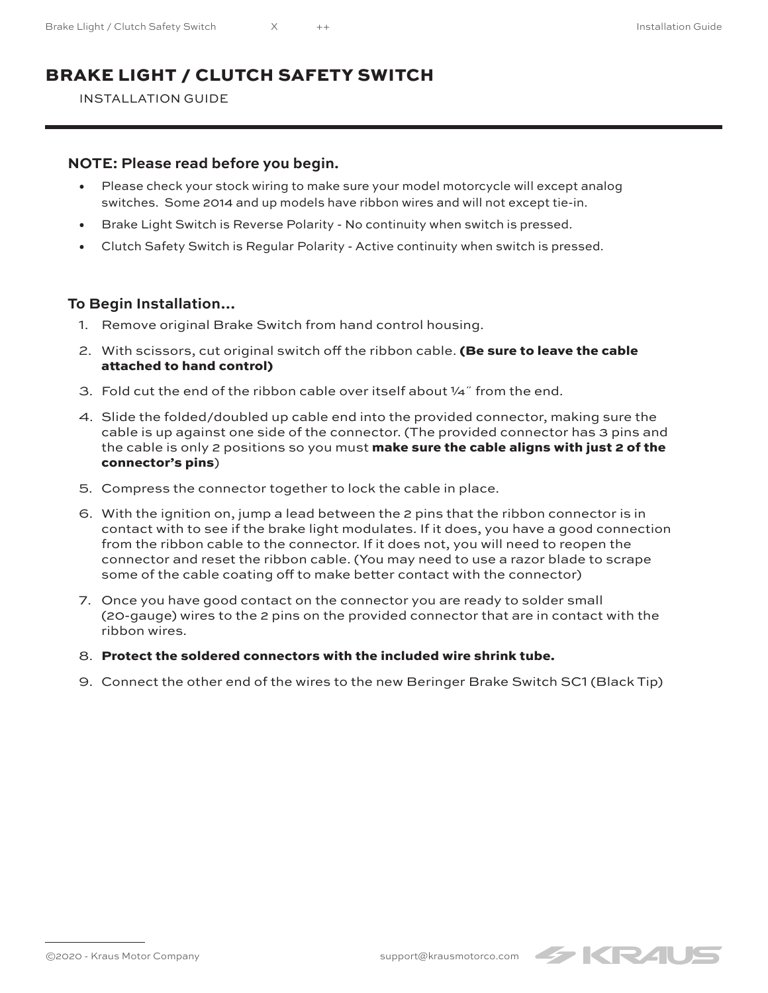## BRAKE LIGHT / CLUTCH SAFETY SWITCH

INSTALLATION GUIDE

## **NOTE: Please read before you begin.**

- Please check your stock wiring to make sure your model motorcycle will except analog switches. Some 2014 and up models have ribbon wires and will not except tie-in.
- Brake Light Switch is Reverse Polarity No continuity when switch is pressed.
- Clutch Safety Switch is Regular Polarity Active continuity when switch is pressed.

## **To Begin Installation…**

- 1. Remove original Brake Switch from hand control housing.
- 2. With scissors, cut original switch off the ribbon cable. (Be sure to leave the cable attached to hand control)
- 3. Fold cut the end of the ribbon cable over itself about  $\frac{1}{4}$  from the end.
- 4. Slide the folded/doubled up cable end into the provided connector, making sure the cable is up against one side of the connector. (The provided connector has 3 pins and the cable is only 2 positions so you must make sure the cable aligns with just 2 of the connector's pins)
- 5. Compress the connector together to lock the cable in place.
- 6. With the ignition on, jump a lead between the 2 pins that the ribbon connector is in contact with to see if the brake light modulates. If it does, you have a good connection from the ribbon cable to the connector. If it does not, you will need to reopen the connector and reset the ribbon cable. (You may need to use a razor blade to scrape some of the cable coating off to make better contact with the connector)
- 7. Once you have good contact on the connector you are ready to solder small (20-gauge) wires to the 2 pins on the provided connector that are in contact with the ribbon wires.
- 8. Protect the soldered connectors with the included wire shrink tube.
- 9. Connect the other end of the wires to the new Beringer Brake Switch SC1 (Black Tip)